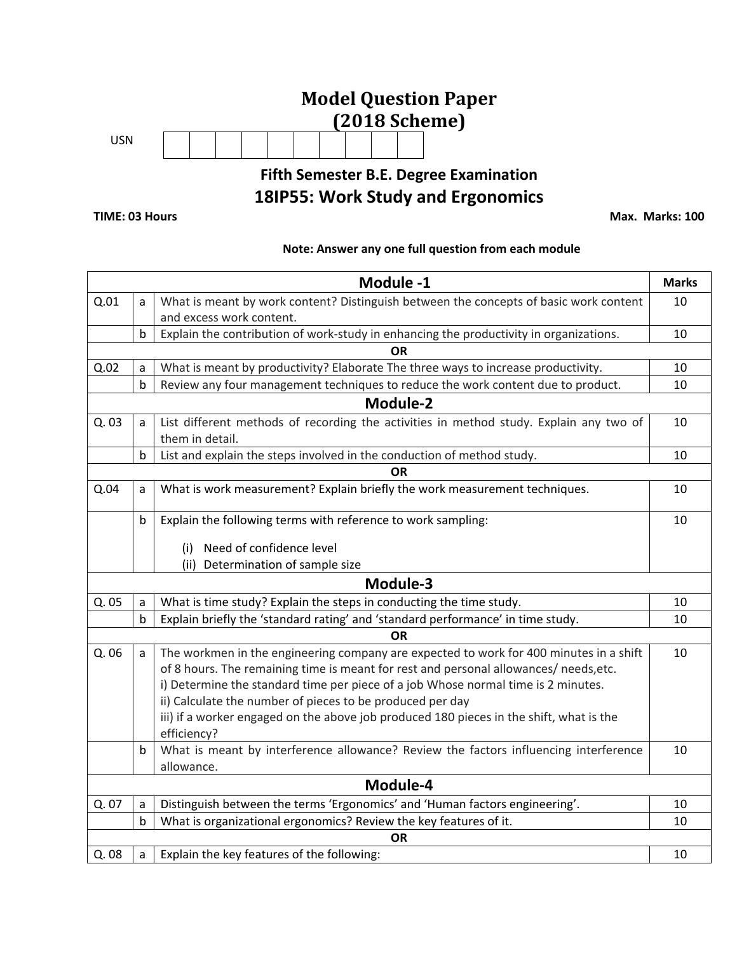# **Model Question Paper (2018 Scheme)** USN **Fifth Semester B.E. Degree Examination**

## **18IP55: Work Study and Ergonomics**

**TIME: 03 Hours Max. Marks: 100** 

#### **Note: Answer any one full question from each module**

|       |                                                                                                                | Module -1                                                                               | <b>Marks</b> |  |  |  |
|-------|----------------------------------------------------------------------------------------------------------------|-----------------------------------------------------------------------------------------|--------------|--|--|--|
| Q.01  | a                                                                                                              | What is meant by work content? Distinguish between the concepts of basic work content   |              |  |  |  |
|       |                                                                                                                | and excess work content.                                                                |              |  |  |  |
|       | Explain the contribution of work-study in enhancing the productivity in organizations.<br>$\mathsf b$          |                                                                                         |              |  |  |  |
|       |                                                                                                                | <b>OR</b>                                                                               |              |  |  |  |
| Q.02  | a                                                                                                              | What is meant by productivity? Elaborate The three ways to increase productivity.       | 10           |  |  |  |
|       | $\mathsf b$                                                                                                    | Review any four management techniques to reduce the work content due to product.        | 10           |  |  |  |
|       |                                                                                                                | Module-2                                                                                |              |  |  |  |
| Q. 03 | List different methods of recording the activities in method study. Explain any two of<br>a<br>them in detail. |                                                                                         |              |  |  |  |
|       | b                                                                                                              | List and explain the steps involved in the conduction of method study.                  |              |  |  |  |
|       |                                                                                                                | <b>OR</b>                                                                               |              |  |  |  |
| Q.04  | a                                                                                                              | What is work measurement? Explain briefly the work measurement techniques.              | 10           |  |  |  |
|       | b                                                                                                              | Explain the following terms with reference to work sampling:                            | 10           |  |  |  |
|       |                                                                                                                | Need of confidence level<br>(i)                                                         |              |  |  |  |
|       |                                                                                                                | (ii) Determination of sample size                                                       |              |  |  |  |
|       |                                                                                                                | Module-3                                                                                |              |  |  |  |
| Q. 05 | a                                                                                                              | What is time study? Explain the steps in conducting the time study.                     | 10           |  |  |  |
|       | $\sf b$                                                                                                        | Explain briefly the 'standard rating' and 'standard performance' in time study.         | 10           |  |  |  |
|       |                                                                                                                | <b>OR</b>                                                                               |              |  |  |  |
| Q. 06 | a                                                                                                              | The workmen in the engineering company are expected to work for 400 minutes in a shift  | 10           |  |  |  |
|       |                                                                                                                | of 8 hours. The remaining time is meant for rest and personal allowances/ needs, etc.   |              |  |  |  |
|       |                                                                                                                | i) Determine the standard time per piece of a job Whose normal time is 2 minutes.       |              |  |  |  |
|       |                                                                                                                | ii) Calculate the number of pieces to be produced per day                               |              |  |  |  |
|       |                                                                                                                | iii) if a worker engaged on the above job produced 180 pieces in the shift, what is the |              |  |  |  |
|       |                                                                                                                | efficiency?                                                                             |              |  |  |  |
|       | b                                                                                                              | What is meant by interference allowance? Review the factors influencing interference    | 10           |  |  |  |
|       |                                                                                                                | allowance.                                                                              |              |  |  |  |
|       |                                                                                                                | Module-4                                                                                |              |  |  |  |
| Q. 07 | a                                                                                                              | Distinguish between the terms 'Ergonomics' and 'Human factors engineering'.             | 10           |  |  |  |
|       | $\mathsf b$                                                                                                    | What is organizational ergonomics? Review the key features of it.                       | 10           |  |  |  |
|       |                                                                                                                | <b>OR</b>                                                                               |              |  |  |  |
| Q. 08 | a                                                                                                              | Explain the key features of the following:                                              | 10           |  |  |  |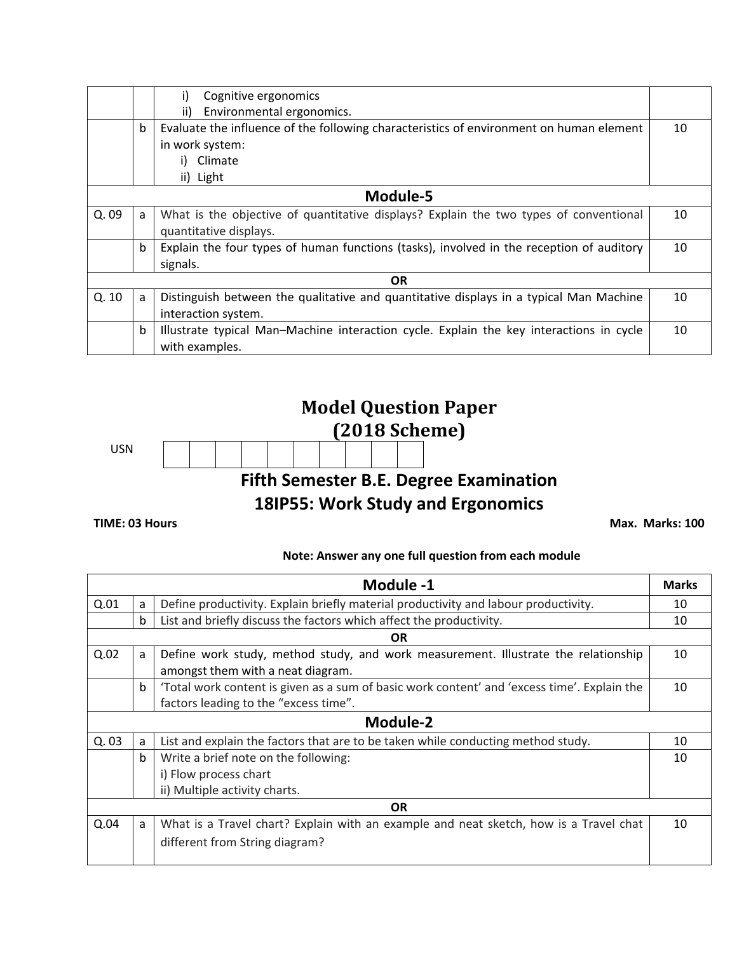|       |                                                                                            | Cognitive ergonomics<br>i)                                                               |    |  |  |  |  |
|-------|--------------------------------------------------------------------------------------------|------------------------------------------------------------------------------------------|----|--|--|--|--|
|       |                                                                                            | ii)<br>Environmental ergonomics.                                                         |    |  |  |  |  |
|       | $\mathbf b$                                                                                | Evaluate the influence of the following characteristics of environment on human element  |    |  |  |  |  |
|       |                                                                                            | in work system:                                                                          |    |  |  |  |  |
|       |                                                                                            | Climate                                                                                  |    |  |  |  |  |
|       |                                                                                            | ii) Light                                                                                |    |  |  |  |  |
|       |                                                                                            | Module-5                                                                                 |    |  |  |  |  |
| Q. 09 | What is the objective of quantitative displays? Explain the two types of conventional<br>a |                                                                                          |    |  |  |  |  |
|       |                                                                                            | quantitative displays.                                                                   |    |  |  |  |  |
|       | $\mathbf b$                                                                                | Explain the four types of human functions (tasks), involved in the reception of auditory |    |  |  |  |  |
|       |                                                                                            | signals.                                                                                 |    |  |  |  |  |
|       |                                                                                            | OR.                                                                                      |    |  |  |  |  |
| Q.10  | a                                                                                          | Distinguish between the qualitative and quantitative displays in a typical Man Machine   | 10 |  |  |  |  |
|       |                                                                                            | interaction system.                                                                      |    |  |  |  |  |
|       | b                                                                                          | Illustrate typical Man-Machine interaction cycle. Explain the key interactions in cycle  | 10 |  |  |  |  |
|       |                                                                                            | with examples.                                                                           |    |  |  |  |  |

## **Model Question Paper (2018 Scheme)** USN **Fifth Semester B.E. Degree Examination 18IP55: Work Study and Ergonomics**

**TIME: 03 Hours Max. Marks: 100** 

### **Note: Answer any one full question from each module**

|           |                                                                                          | Module -1                                                                                                                            | <b>Marks</b> |  |  |
|-----------|------------------------------------------------------------------------------------------|--------------------------------------------------------------------------------------------------------------------------------------|--------------|--|--|
| Q.01      | Define productivity. Explain briefly material productivity and labour productivity.<br>a |                                                                                                                                      |              |  |  |
|           | List and briefly discuss the factors which affect the productivity.<br>$\mathbf b$       |                                                                                                                                      |              |  |  |
| <b>OR</b> |                                                                                          |                                                                                                                                      |              |  |  |
| Q.02      | a                                                                                        | Define work study, method study, and work measurement. Illustrate the relationship<br>amongst them with a neat diagram.              | 10           |  |  |
|           | $\mathbf b$                                                                              | 'Total work content is given as a sum of basic work content' and 'excess time'. Explain the<br>factors leading to the "excess time". | 10           |  |  |
|           |                                                                                          | Module-2                                                                                                                             |              |  |  |
| Q.03      | a                                                                                        | List and explain the factors that are to be taken while conducting method study.                                                     | 10           |  |  |
|           | $\mathbf b$                                                                              | Write a brief note on the following:                                                                                                 | 10           |  |  |
|           |                                                                                          | i) Flow process chart                                                                                                                |              |  |  |
|           |                                                                                          | ii) Multiple activity charts.                                                                                                        |              |  |  |
|           |                                                                                          | <b>OR</b>                                                                                                                            |              |  |  |
| Q.04      | a                                                                                        | What is a Travel chart? Explain with an example and neat sketch, how is a Travel chat                                                | 10           |  |  |
|           |                                                                                          | different from String diagram?                                                                                                       |              |  |  |